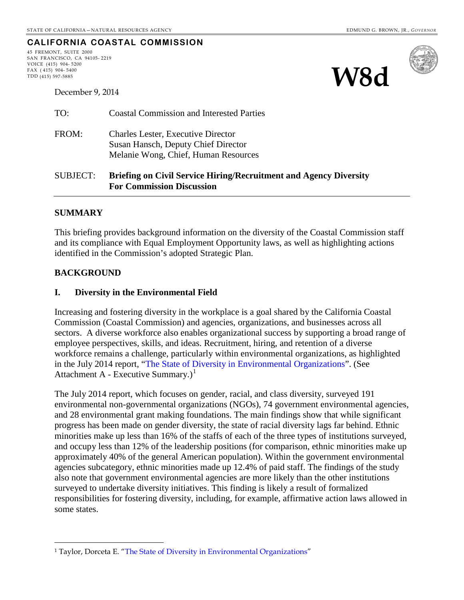### **CALIFORNIA COASTAL COMMISSION**

45 FREMONT, SUITE 2000 SAN FRANCISCO, CA 94105- 2219 VOICE (415) 904- 5200 FAX ( 415) 904- 5400 TDD (415) 597-5885





December 9, 2014

| <b>SUBJECT:</b> | <b>Briefing on Civil Service Hiring/Recruitment and Agency Diversity</b><br><b>For Commission Discussion</b>             |
|-----------------|--------------------------------------------------------------------------------------------------------------------------|
| FROM:           | <b>Charles Lester, Executive Director</b><br>Susan Hansch, Deputy Chief Director<br>Melanie Wong, Chief, Human Resources |
| TO:             | <b>Coastal Commission and Interested Parties</b>                                                                         |

### **SUMMARY**

This briefing provides background information on the diversity of the Coastal Commission staff and its compliance with Equal Employment Opportunity laws, as well as highlighting actions identified in the Commission's adopted Strategic Plan.

### **BACKGROUND**

 $\overline{a}$ 

### **I. Diversity in the Environmental Field**

Increasing and fostering diversity in the workplace is a goal shared by the California Coastal Commission (Coastal Commission) and agencies, organizations, and businesses across all sectors. A diverse workforce also enables organizational success by supporting a broad range of employee perspectives, skills, and ideas. Recruitment, hiring, and retention of a diverse workforce remains a challenge, particularly within environmental organizations, as highlighted in the July 2014 report, ["The State of Diversity in Environmental Organizations"](http://diversegreen.org/wp-content/uploads/sites/4/2014/07/FullReport_Green2.0_FINAL.pdf). (See [Attachment A - Executive Summary](#page-8-0).)<sup>[1](#page-0-0)</sup>

The July 2014 report, which focuses on gender, racial, and class diversity, surveyed 191 environmental non-governmental organizations (NGOs), 74 government environmental agencies, and 28 environmental grant making foundations. The main findings show that while significant progress has been made on gender diversity, the state of racial diversity lags far behind. Ethnic minorities make up less than 16% of the staffs of each of the three types of institutions surveyed, and occupy less than 12% of the leadership positions (for comparison, ethnic minorities make up approximately 40% of the general American population). Within the government environmental agencies subcategory, ethnic minorities made up 12.4% of paid staff. The findings of the study also note that government environmental agencies are more likely than the other institutions surveyed to undertake diversity initiatives. This finding is likely a result of formalized responsibilities for fostering diversity, including, for example, affirmative action laws allowed in some states.

<span id="page-0-0"></span><sup>1</sup> Taylor, Dorceta E. ["The State of Diversity in Environmental Organizations"](http://diversegreen.org/wp-content/uploads/sites/4/2014/07/FullReport_Green2.0_FINAL.pdf)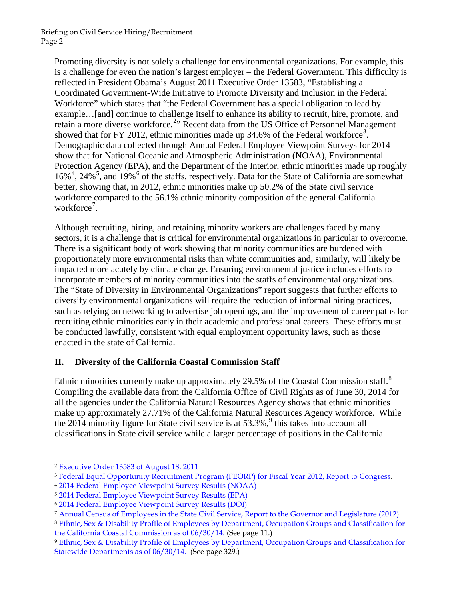Promoting diversity is not solely a challenge for environmental organizations. For example, this is a challenge for even the nation's largest employer – the Federal Government. This difficulty is reflected in President Obama's August 2011 Executive Order 13583, "Establishing a Coordinated Government-Wide Initiative to Promote Diversity and Inclusion in the Federal Workforce" which states that "the Federal Government has a special obligation to lead by example…[and] continue to challenge itself to enhance its ability to recruit, hire, promote, and retain a more diverse workforce.<sup>[2](#page-1-0)</sup>" Recent data from the US Office of Personnel Management showed that for FY 2012, ethnic minorities made up [3](#page-1-1)4.6% of the Federal workforce<sup>3</sup>. Demographic data collected through Annual Federal Employee Viewpoint Surveys for 2014 show that for National Oceanic and Atmospheric Administration (NOAA), Environmental Protection Agency (EPA), and the Department of the Interior, ethnic minorities made up roughly 16%<sup>[4](#page-1-2)</sup>, 24%<sup>[5](#page-1-3)</sup>, and 19%<sup>[6](#page-1-4)</sup> of the staffs, respectively. Data for the State of California are somewhat better, showing that, in 2012, ethnic minorities make up 50.2% of the State civil service workforce compared to the 56.1% ethnic minority composition of the general California workforce<sup>[7](#page-1-5)</sup>.

Although recruiting, hiring, and retaining minority workers are challenges faced by many sectors, it is a challenge that is critical for environmental organizations in particular to overcome. There is a significant body of work showing that minority communities are burdened with proportionately more environmental risks than white communities and, similarly, will likely be impacted more acutely by climate change. Ensuring environmental justice includes efforts to incorporate members of minority communities into the staffs of environmental organizations. The "State of Diversity in Environmental Organizations" report suggests that further efforts to diversify environmental organizations will require the reduction of informal hiring practices, such as relying on networking to advertise job openings, and the improvement of career paths for recruiting ethnic minorities early in their academic and professional careers. These efforts must be conducted lawfully, consistent with equal employment opportunity laws, such as those enacted in the state of California.

# **II. Diversity of the California Coastal Commission Staff**

Ethnic minorities currently make up approximately 29.5% of the Coastal Commission staff.<sup>[8](#page-1-6)</sup> Compiling the available data from the California Office of Civil Rights as of June 30, 2014 for all the agencies under the California Natural Resources Agency shows that ethnic minorities make up approximately 27.71% of the California Natural Resources Agency workforce. While the 2014 minority figure for State civil service is at  $53.3\%$ , this takes into account all classifications in State civil service while a larger percentage of positions in the California

 $\overline{a}$ 

<span id="page-1-0"></span><sup>2</sup> [Executive Order 13583 of August 18, 2011](http://www.gpo.gov/fdsys/pkg/FR-2011-08-23/pdf/2011-21704.pdf) 

<span id="page-1-1"></span><sup>3</sup> [Federal Equal Opportunity Recruitment Program \(FEORP\) for Fiscal Year 2012, Report to Congress.](http://www.opm.gov/policy-data-oversight/diversity-and-inclusion/reports/feorp-2012.pdf) 4 [2014 Federal Employee Viewpoint Survey Results \(NOAA\)](http://www.wfm.noaa.gov/SHCM/2014_FEVS_results.pdf)

<span id="page-1-2"></span>

<span id="page-1-3"></span><sup>5</sup> [2014 Federal Employee Viewpoint Survey Results \(EPA\)](http://www.epa.gov/ohr/2014-fevs-aes-results.pdf)

<span id="page-1-4"></span><sup>6</sup> [2014 Federal Employee Viewpoint Survey Results \(DOI\)](http://www.doi.gov/pmb/hr/upload/2014_FEVS_AES_Department_of_the_Interior.pdf)

<span id="page-1-5"></span><sup>7</sup> [Annual Census of Employees in the State Civil Service, Report to the Governor and Legislature \(2012\)](http://www.calhr.ca.gov/Documents/ocr-census-of-employees-2012.pdf) 

<span id="page-1-6"></span><sup>8</sup> [Ethnic, Sex & Disability Profile of Employees by Department, Occupation Groups and Classification for](http://jobs.spb.ca.gov/spb1/wfa/r5000_series.cfm?dcode=CG&filename=r5102\2014-06.txt)  [the California Coastal Commission as of 06/30/14. \(](http://jobs.spb.ca.gov/spb1/wfa/r5000_series.cfm?dcode=CG&filename=r5102\2014-06.txt)See page 11.)

<span id="page-1-7"></span><sup>9</sup> [Ethnic, Sex & Disability Profile of Employees by Department, Occupation Groups and Classification for](http://jobs.spb.ca.gov/spb1/wfa/r5000_series.cfm?dcode=SW&filename=r5102_statewide\2014-06.txt)  [Statewide Departments as of 06/30/14.](http://jobs.spb.ca.gov/spb1/wfa/r5000_series.cfm?dcode=SW&filename=r5102_statewide\2014-06.txt) (See page 329.)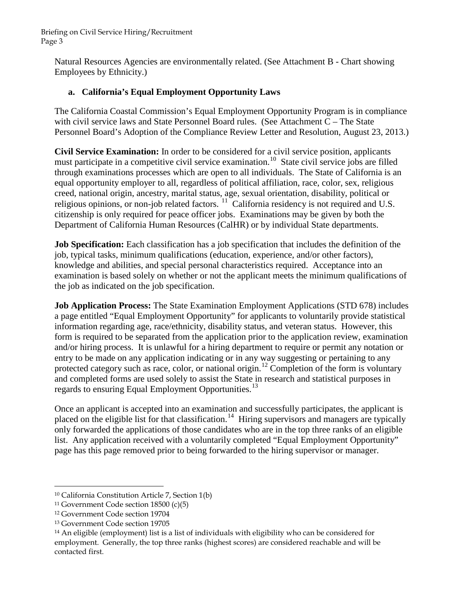[Natural Resources Agencies are environmentally related. \(See Attachment B - Chart showing](#page-15-0)  Employees by Ethnicity.)

# **a. California's Equal Employment Opportunity Laws**

The California Coastal Commission's Equal Employment Opportunity Program is in compliance with civil service laws and State Personnel Board rules. (See Attachment C – The State [Personnel Board's Adoption of the Compliance Review Letter and Resolution, August 23, 2013.](#page-16-0))

**Civil Service Examination:** In order to be considered for a civil service position, applicants must participate in a competitive civil service examination.<sup>10</sup> State civil service jobs are filled through examinations processes which are open to all individuals. The State of California is an equal opportunity employer to all, regardless of political affiliation, race, color, sex, religious creed, national origin, ancestry, marital status, age, sexual orientation, disability, political or religious opinions, or non-job related factors. <sup>11</sup> California residency is not required and U.S. citizenship is only required for peace officer jobs. Examinations may be given by both the Department of California Human Resources (CalHR) or by individual State departments.

**Job Specification:** Each classification has a job specification that includes the definition of the job, typical tasks, minimum qualifications (education, experience, and/or other factors), knowledge and abilities, and special personal characteristics required. Acceptance into an examination is based solely on whether or not the applicant meets the minimum qualifications of the job as indicated on the job specification.

**Job Application Process:** The State Examination Employment Applications (STD 678) includes a page entitled "Equal Employment Opportunity" for applicants to voluntarily provide statistical information regarding age, race/ethnicity, disability status, and veteran status. However, this form is required to be separated from the application prior to the application review, examination and/or hiring process. It is unlawful for a hiring department to require or permit any notation or entry to be made on any application indicating or in any way suggesting or pertaining to any protected category such as race, color, or national origin.[12](#page-2-2) Completion of the form is voluntary and completed forms are used solely to assist the State in research and statistical purposes in regards to ensuring Equal Employment Opportunities.<sup>13</sup>

Once an applicant is accepted into an examination and successfully participates, the applicant is placed on the eligible list for that classification.<sup>14</sup> Hiring supervisors and managers are typically only forwarded the applications of those candidates who are in the top three ranks of an eligible list. Any application received with a voluntarily completed "Equal Employment Opportunity" page has this page removed prior to being forwarded to the hiring supervisor or manager.

 $\overline{a}$ 

<span id="page-2-0"></span><sup>10</sup> California Constitution Article 7, Section 1(b)

<span id="page-2-1"></span><sup>11</sup> Government Code section 18500 (c)(5)

<span id="page-2-2"></span><sup>12</sup> Government Code section 19704

<span id="page-2-3"></span><sup>13</sup> Government Code section 19705

<span id="page-2-4"></span><sup>14</sup> An eligible (employment) list is a list of individuals with eligibility who can be considered for employment. Generally, the top three ranks (highest scores) are considered reachable and will be contacted first.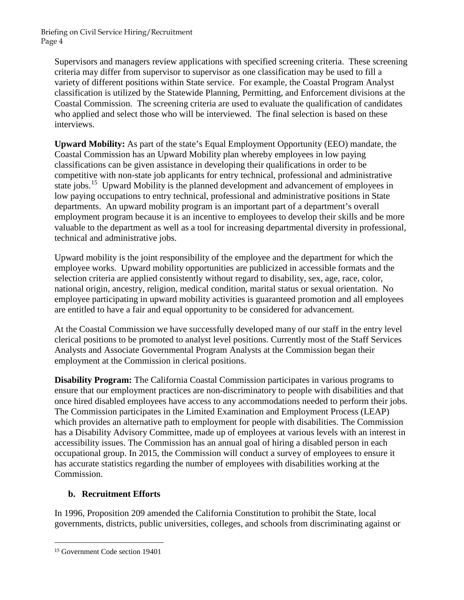Supervisors and managers review applications with specified screening criteria. These screening criteria may differ from supervisor to supervisor as one classification may be used to fill a variety of different positions within State service. For example, the Coastal Program Analyst classification is utilized by the Statewide Planning, Permitting, and Enforcement divisions at the Coastal Commission. The screening criteria are used to evaluate the qualification of candidates who applied and select those who will be interviewed. The final selection is based on these interviews.

**Upward Mobility:** As part of the state's Equal Employment Opportunity (EEO) mandate, the Coastal Commission has an Upward Mobility plan whereby employees in low paying classifications can be given assistance in developing their qualifications in order to be competitive with non-state job applicants for entry technical, professional and administrative state jobs.<sup>15</sup> Upward Mobility is the planned development and advancement of employees in low paying occupations to entry technical, professional and administrative positions in State departments. An upward mobility program is an important part of a department's overall employment program because it is an incentive to employees to develop their skills and be more valuable to the department as well as a tool for increasing departmental diversity in professional, technical and administrative jobs.

Upward mobility is the joint responsibility of the employee and the department for which the employee works. Upward mobility opportunities are publicized in accessible formats and the selection criteria are applied consistently without regard to disability, sex, age, race, color, national origin, ancestry, religion, medical condition, marital status or sexual orientation. No employee participating in upward mobility activities is guaranteed promotion and all employees are entitled to have a fair and equal opportunity to be considered for advancement.

At the Coastal Commission we have successfully developed many of our staff in the entry level clerical positions to be promoted to analyst level positions. Currently most of the Staff Services Analysts and Associate Governmental Program Analysts at the Commission began their employment at the Commission in clerical positions.

**Disability Program:** The California Coastal Commission participates in various programs to ensure that our employment practices are non-discriminatory to people with disabilities and that once hired disabled employees have access to any accommodations needed to perform their jobs. The Commission participates in the Limited Examination and Employment Process (LEAP) which provides an alternative path to employment for people with disabilities. The Commission has a Disability Advisory Committee, made up of employees at various levels with an interest in accessibility issues. The Commission has an annual goal of hiring a disabled person in each occupational group. In 2015, the Commission will conduct a survey of employees to ensure it has accurate statistics regarding the number of employees with disabilities working at the Commission.

# **b. Recruitment Efforts**

In 1996, Proposition 209 amended the California Constitution to prohibit the State, local governments, districts, public universities, colleges, and schools from discriminating against or

 $\overline{a}$ 

<span id="page-3-0"></span><sup>15</sup> Government Code section 19401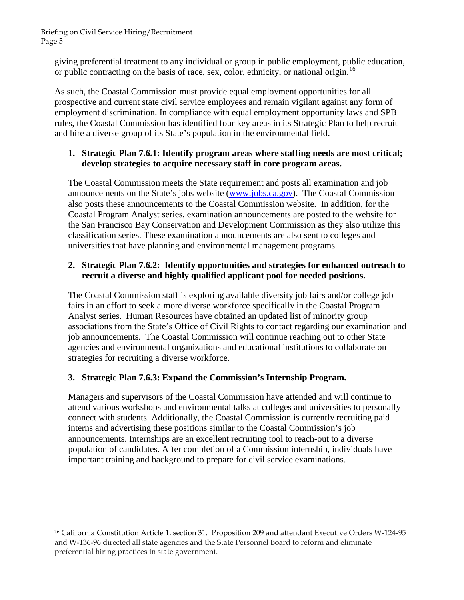$\overline{a}$ 

giving preferential treatment to any individual or group in public employment, public education, or public contracting on the basis of race, sex, color, ethnicity, or national origin.<sup>[16](#page-4-0)</sup>

As such, the Coastal Commission must provide equal employment opportunities for all prospective and current state civil service employees and remain vigilant against any form of employment discrimination. In compliance with equal employment opportunity laws and SPB rules, the Coastal Commission has identified four key areas in its Strategic Plan to help recruit and hire a diverse group of its State's population in the environmental field.

### **1. Strategic Plan 7.6.1: Identify program areas where staffing needs are most critical; develop strategies to acquire necessary staff in core program areas.**

The Coastal Commission meets the State requirement and posts all examination and job announcements on the State's jobs website [\(www.jobs.ca.gov\)](http://www.jobs.ca.gov/). The Coastal Commission also posts these announcements to the Coastal Commission website. In addition, for the Coastal Program Analyst series, examination announcements are posted to the website for the San Francisco Bay Conservation and Development Commission as they also utilize this classification series. These examination announcements are also sent to colleges and universities that have planning and environmental management programs.

# **2. Strategic Plan 7.6.2: Identify opportunities and strategies for enhanced outreach to recruit a diverse and highly qualified applicant pool for needed positions.**

The Coastal Commission staff is exploring available diversity job fairs and/or college job fairs in an effort to seek a more diverse workforce specifically in the Coastal Program Analyst series. Human Resources have obtained an updated list of minority group associations from the State's Office of Civil Rights to contact regarding our examination and job announcements. The Coastal Commission will continue reaching out to other State agencies and environmental organizations and educational institutions to collaborate on strategies for recruiting a diverse workforce.

# **3. Strategic Plan 7.6.3: Expand the Commission's Internship Program.**

Managers and supervisors of the Coastal Commission have attended and will continue to attend various workshops and environmental talks at colleges and universities to personally connect with students. Additionally, the Coastal Commission is currently recruiting paid interns and advertising these positions similar to the Coastal Commission's job announcements. Internships are an excellent recruiting tool to reach-out to a diverse population of candidates. After completion of a Commission internship, individuals have important training and background to prepare for civil service examinations.

<span id="page-4-0"></span><sup>16</sup> California Constitution Article 1, section 31. Proposition 209 and attendant Executive Orders W-124-95 and W-136-96 directed all state agencies and the State Personnel Board to reform and eliminate preferential hiring practices in state government.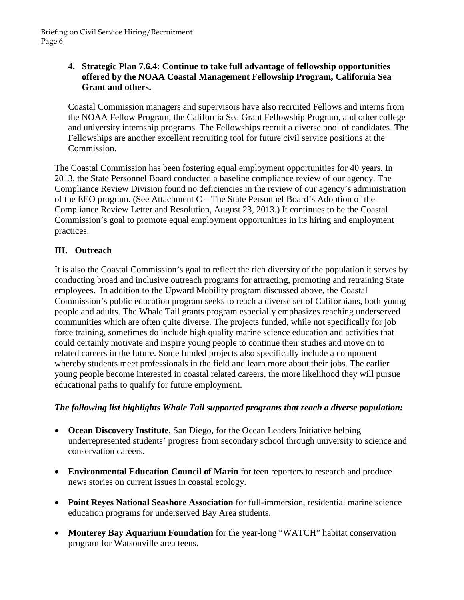# **4. Strategic Plan 7.6.4: Continue to take full advantage of fellowship opportunities offered by the NOAA Coastal Management Fellowship Program, California Sea Grant and others.**

Coastal Commission managers and supervisors have also recruited Fellows and interns from the NOAA Fellow Program, the California Sea Grant Fellowship Program, and other college and university internship programs. The Fellowships recruit a diverse pool of candidates. The Fellowships are another excellent recruiting tool for future civil service positions at the Commission.

The Coastal Commission has been fostering equal employment opportunities for 40 years. In 2013, the State Personnel Board conducted a baseline compliance review of our agency. The Compliance Review Division found no deficiencies in the review of our agency's administration of the EEO program. (See Attachment C – The State Personnel Board's Adoption of the [Compliance Review Letter and Resolution, August 23, 2013.\) It continues to be the Coa](#page-16-0)stal Commission's goal to promote equal employment opportunities in its hiring and employment practices.

# **III. Outreach**

It is also the Coastal Commission's goal to reflect the rich diversity of the population it serves by conducting broad and inclusive outreach programs for attracting, promoting and retraining State employees. In addition to the Upward Mobility program discussed above, the Coastal Commission's public education program seeks to reach a diverse set of Californians, both young people and adults. The Whale Tail grants program especially emphasizes reaching underserved communities which are often quite diverse. The projects funded, while not specifically for job force training, sometimes do include high quality marine science education and activities that could certainly motivate and inspire young people to continue their studies and move on to related careers in the future. Some funded projects also specifically include a component whereby students meet professionals in the field and learn more about their jobs. The earlier young people become interested in coastal related careers, the more likelihood they will pursue educational paths to qualify for future employment.

# *The following list highlights Whale Tail supported programs that reach a diverse population:*

- **Ocean Discovery Institute**, San Diego, for the Ocean Leaders Initiative helping underrepresented students' progress from secondary school through university to science and conservation careers.
- **Environmental Education Council of Marin** for teen reporters to research and produce news stories on current issues in coastal ecology.
- **Point Reyes National Seashore Association** for full-immersion, residential marine science education programs for underserved Bay Area students.
- **Monterey Bay Aquarium Foundation** for the year-long "WATCH" habitat conservation program for Watsonville area teens.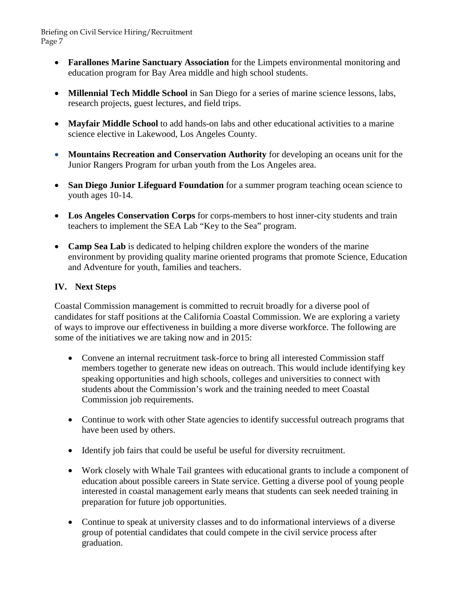- **Farallones Marine Sanctuary Association** for the Limpets environmental monitoring and education program for Bay Area middle and high school students.
- **Millennial Tech Middle School** in San Diego for a series of marine science lessons, labs, research projects, guest lectures, and field trips.
- **Mayfair Middle School** to add hands-on labs and other educational activities to a marine science elective in Lakewood, Los Angeles County.
- **Mountains Recreation and Conservation Authority** for developing an oceans unit for the Junior Rangers Program for urban youth from the Los Angeles area.
- **San Diego Junior Lifeguard Foundation** for a summer program teaching ocean science to youth ages 10-14.
- **Los Angeles Conservation Corps** for corps-members to host inner-city students and train teachers to implement the SEA Lab "Key to the Sea" program.
- **Camp Sea Lab** is dedicated to helping children explore the wonders of the marine environment by providing quality marine oriented programs that promote Science, Education and Adventure for youth, families and teachers.

# **IV. Next Steps**

Coastal Commission management is committed to recruit broadly for a diverse pool of candidates for staff positions at the California Coastal Commission. We are exploring a variety of ways to improve our effectiveness in building a more diverse workforce. The following are some of the initiatives we are taking now and in 2015:

- Convene an internal recruitment task-force to bring all interested Commission staff members together to generate new ideas on outreach. This would include identifying key speaking opportunities and high schools, colleges and universities to connect with students about the Commission's work and the training needed to meet Coastal Commission job requirements.
- Continue to work with other State agencies to identify successful outreach programs that have been used by others.
- Identify job fairs that could be useful be useful for diversity recruitment.
- Work closely with Whale Tail grantees with educational grants to include a component of education about possible careers in State service. Getting a diverse pool of young people interested in coastal management early means that students can seek needed training in preparation for future job opportunities.
- Continue to speak at university classes and to do informational interviews of a diverse group of potential candidates that could compete in the civil service process after graduation.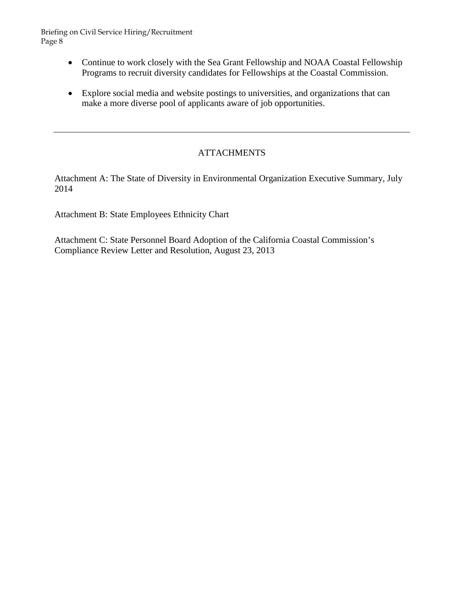- Continue to work closely with the Sea Grant Fellowship and NOAA Coastal Fellowship Programs to recruit diversity candidates for Fellowships at the Coastal Commission.
- Explore social media and website postings to universities, and organizations that can make a more diverse pool of applicants aware of job opportunities.

# ATTACHMENTS

Attachment A: The State of Diversity in Environmental Organization Executive Summary, July 2014

Attachment B: State Employees Ethnicity Chart

Attachment C: State Personnel Board Adoption of the California Coastal Commission's Compliance Review Letter and Resolution, August 23, 2013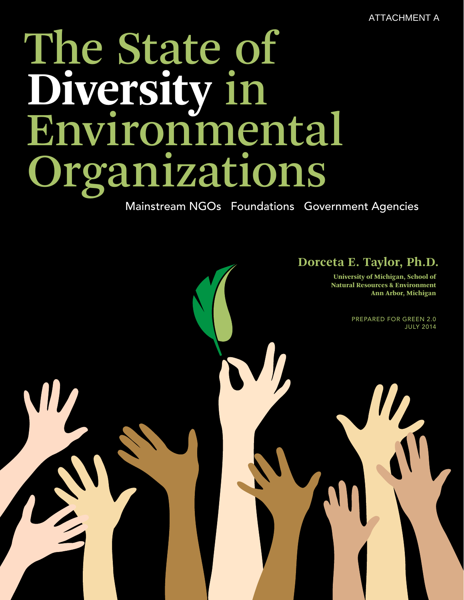# <span id="page-8-0"></span>The State of **Diversity** in Environmental ganizations

Mainstream NGOs Foundations Government Agencies

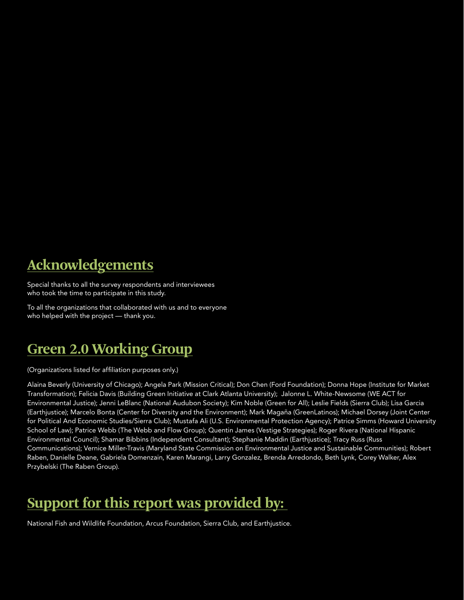# **Acknowledgements**

Special thanks to all the survey respondents and interviewees who took the time to participate in this study.

To all the organizations that collaborated with us and to everyone who helped with the project — thank you.

# **Green 2.0 Working Group**

(Organizations listed for affiliation purposes only.)

Alaina Beverly (University of Chicago); Angela Park (Mission Critical); Don Chen (Ford Foundation); Donna Hope (Institute for Market Transformation); Felicia Davis (Building Green Initiative at Clark Atlanta University); Jalonne L. White-Newsome (WE ACT for Environmental Justice); Jenni LeBlanc (National Audubon Society); Kim Noble (Green for All); Leslie Fields (Sierra Club); Lisa Garcia (Earthjustice); Marcelo Bonta (Center for Diversity and the Environment); Mark Magaña (GreenLatinos); Michael Dorsey (Joint Center for Political And Economic Studies/Sierra Club); Mustafa Ali (U.S. Environmental Protection Agency); Patrice Simms (Howard University School of Law); Patrice Webb (The Webb and Flow Group); Quentin James (Vestige Strategies); Roger Rivera (National Hispanic Environmental Council); Shamar Bibbins (Independent Consultant); Stephanie Maddin (Earthjustice); Tracy Russ (Russ Communications); Vernice Miller-Travis (Maryland State Commission on Environmental Justice and Sustainable Communities); Robert Raben, Danielle Deane, Gabriela Domenzain, Karen Marangi, Larry Gonzalez, Brenda Arredondo, Beth Lynk, Corey Walker, Alex Przybelski (The Raben Group).

# **Support for this report was provided by:**

National Fish and Wildlife Foundation, Arcus Foundation, Sierra Club, and Earthjustice.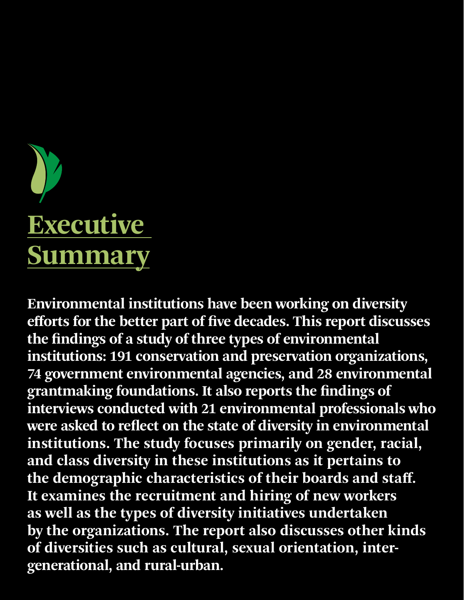

**Environmental institutions have been working on diversity efforts for the better part of five decades. This report discusses the findings of a study of three types of environmental institutions: 191 conservation and preservation organizations, 74 government environmental agencies, and 28 environmental grantmaking foundations. It also reports the findings of interviews conducted with 21 environmental professionals who were asked to reflect on the state of diversity in environmental institutions. The study focuses primarily on gender, racial, and class diversity in these institutions as it pertains to the demographic characteristics of their boards and staff. It examines the recruitment and hiring of new workers as well as the types of diversity initiatives undertaken by the organizations. The report also discusses other kinds of diversities such as cultural, sexual orientation, intergenerational, and rural-urban.**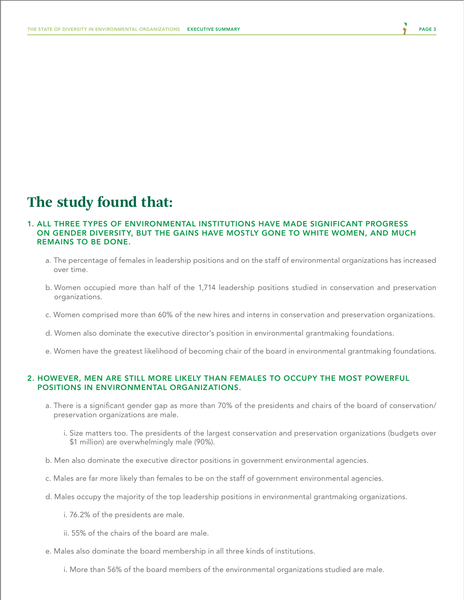# **The study found that:**

### 1. All three types of environmental institutions have made significant progress on gender diversity, but the gains have mostly gone to White women, and much remains to be done.

- a. The percentage of females in leadership positions and on the staff of environmental organizations has increased over time.
- b. Women occupied more than half of the 1,714 leadership positions studied in conservation and preservation organizations.
- c. Women comprised more than 60% of the new hires and interns in conservation and preservation organizations.
- d. Women also dominate the executive director's position in environmental grantmaking foundations.
- e. Women have the greatest likelihood of becoming chair of the board in environmental grantmaking foundations.

### 2. HOWEVER, MEN ARE STILL MORE LIKELY THAN FEMALES TO OCCUPY THE MOST POWERFUL positions in environmental organizations.

- a. There is a significant gender gap as more than 70% of the presidents and chairs of the board of conservation/ preservation organizations are male.
	- i. Size matters too. The presidents of the largest conservation and preservation organizations (budgets over \$1 million) are overwhelmingly male (90%).
- b. Men also dominate the executive director positions in government environmental agencies.
- c. Males are far more likely than females to be on the staff of government environmental agencies.
- d. Males occupy the majority of the top leadership positions in environmental grantmaking organizations.
	- i. 76.2% of the presidents are male.
	- ii. 55% of the chairs of the board are male.
- e. Males also dominate the board membership in all three kinds of institutions.
	- i. More than 56% of the board members of the environmental organizations studied are male.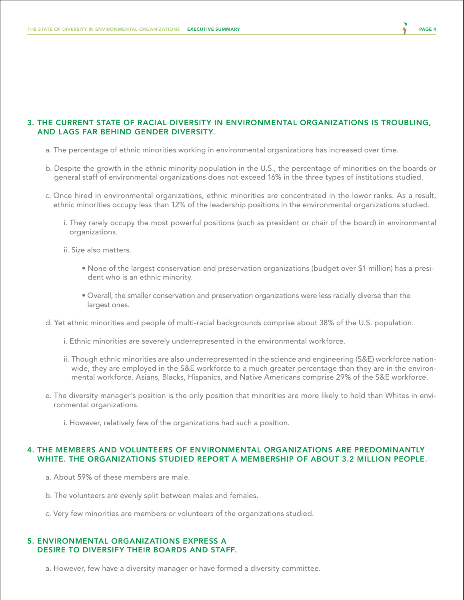### 3. THE CURRENT STATE OF RACIAL DIVERSITY IN ENVIRONMENTAL ORGANIZATIONS IS TROUBLING, and lags far behind gender diversity.

- a. The percentage of ethnic minorities working in environmental organizations has increased over time.
- b. Despite the growth in the ethnic minority population in the U.S., the percentage of minorities on the boards or general staff of environmental organizations does not exceed 16% in the three types of institutions studied.
- c. Once hired in environmental organizations, ethnic minorities are concentrated in the lower ranks. As a result, ethnic minorities occupy less than 12% of the leadership positions in the environmental organizations studied.
	- i. They rarely occupy the most powerful positions (such as president or chair of the board) in environmental organizations.
	- ii. Size also matters.
		- None of the largest conservation and preservation organizations (budget over \$1 million) has a president who is an ethnic minority.
		- Overall, the smaller conservation and preservation organizations were less racially diverse than the largest ones.
- d. Yet ethnic minorities and people of multi-racial backgrounds comprise about 38% of the U.S. population.
	- i. Ethnic minorities are severely underrepresented in the environmental workforce.
	- ii. Though ethnic minorities are also underrepresented in the science and engineering (S&E) workforce nationwide, they are employed in the S&E workforce to a much greater percentage than they are in the environmental workforce. Asians, Blacks, Hispanics, and Native Americans comprise 29% of the S&E workforce.
- e. The diversity manager's position is the only position that minorities are more likely to hold than Whites in environmental organizations.
	- i. However, relatively few of the organizations had such a position.

#### 4. The members and volunteers of environmental organizations are predominantly WHITE. THE ORGANIZATIONS STUDIED REPORT A MEMBERSHIP OF ABOUT 3.2 MILLION PEOPLE.

- a. About 59% of these members are male.
- b. The volunteers are evenly split between males and females.
- c. Very few minorities are members or volunteers of the organizations studied.

### 5. Environmental organizations express a DESIRE TO DIVERSIFY THEIR BOARDS AND STAFF.

a. However, few have a diversity manager or have formed a diversity committee.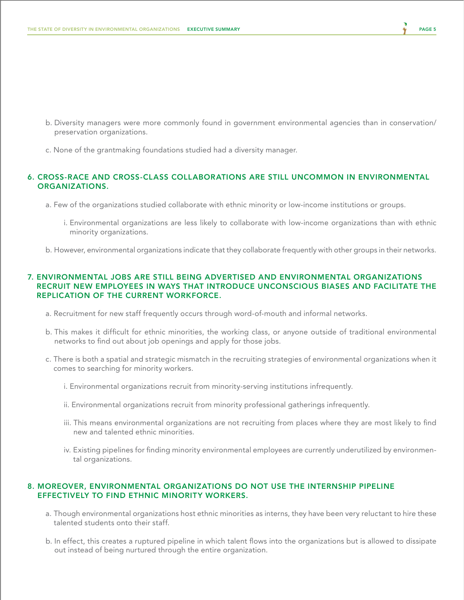- b. Diversity managers were more commonly found in government environmental agencies than in conservation/ preservation organizations.
- c. None of the grantmaking foundations studied had a diversity manager.

### 6. CROSS-RACE AND CROSS-CLASS COLLABORATIONS ARE STILL UNCOMMON IN ENVIRONMENTAL organizations.

- a. Few of the organizations studied collaborate with ethnic minority or low-income institutions or groups.
	- i. Environmental organizations are less likely to collaborate with low-income organizations than with ethnic minority organizations.
- b. However, environmental organizations indicate that they collaborate frequently with other groups in their networks.

### 7. ENVIRONMENTAL JOBS ARE STILL BEING ADVERTISED AND ENVIRONMENTAL ORGANIZATIONS recruit new employees in ways that introduce unconscious biases and facilitate the replication of the current workforce.

- a. Recruitment for new staff frequently occurs through word-of-mouth and informal networks.
- b. This makes it difficult for ethnic minorities, the working class, or anyone outside of traditional environmental networks to find out about job openings and apply for those jobs.
- c. There is both a spatial and strategic mismatch in the recruiting strategies of environmental organizations when it comes to searching for minority workers.
	- i. Environmental organizations recruit from minority-serving institutions infrequently.
	- ii. Environmental organizations recruit from minority professional gatherings infrequently.
	- iii. This means environmental organizations are not recruiting from places where they are most likely to find new and talented ethnic minorities.
	- iv. Existing pipelines for finding minority environmental employees are currently underutilized by environmental organizations.

### 8. Moreover, environmental organizations do not use the internship pipeline effectively to find ethnic minority workers.

- a. Though environmental organizations host ethnic minorities as interns, they have been very reluctant to hire these talented students onto their staff.
- b. In effect, this creates a ruptured pipeline in which talent flows into the organizations but is allowed to dissipate out instead of being nurtured through the entire organization.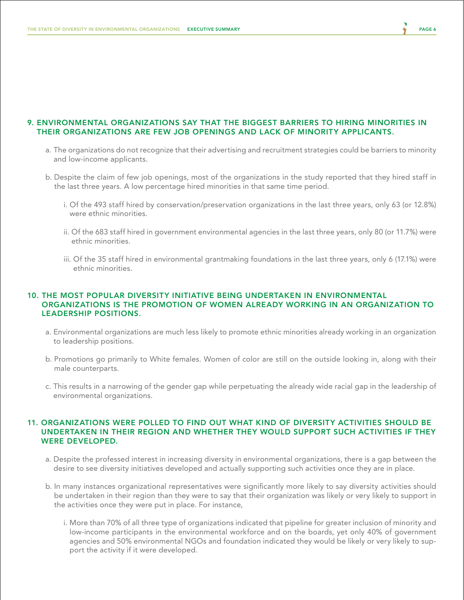### 9. Environmental organizations say that the biggest barriers to hiring minorities in their organizations are few job openings and lack of minority applicants.

- a. The organizations do not recognize that their advertising and recruitment strategies could be barriers to minority and low-income applicants.
- b. Despite the claim of few job openings, most of the organizations in the study reported that they hired staff in the last three years. A low percentage hired minorities in that same time period.
	- i. Of the 493 staff hired by conservation/preservation organizations in the last three years, only 63 (or 12.8%) were ethnic minorities.
	- ii. Of the 683 staff hired in government environmental agencies in the last three years, only 80 (or 11.7%) were ethnic minorities.
	- iii. Of the 35 staff hired in environmental grantmaking foundations in the last three years, only 6 (17.1%) were ethnic minorities.

### 10. The most popular diversity initiative being undertaken in environmental organizations is the promotion of women already working in an organization to leadership positions.

- a. Environmental organizations are much less likely to promote ethnic minorities already working in an organization to leadership positions.
- b. Promotions go primarily to White females. Women of color are still on the outside looking in, along with their male counterparts.
- c. This results in a narrowing of the gender gap while perpetuating the already wide racial gap in the leadership of environmental organizations.

### 11. Organizations were polled to find out what kind of diversity activities should be undertaken in their region and whether they would support such activities if they were developed.

- a. Despite the professed interest in increasing diversity in environmental organizations, there is a gap between the desire to see diversity initiatives developed and actually supporting such activities once they are in place.
- b. In many instances organizational representatives were significantly more likely to say diversity activities should be undertaken in their region than they were to say that their organization was likely or very likely to support in the activities once they were put in place. For instance,
	- i. More than 70% of all three type of organizations indicated that pipeline for greater inclusion of minority and low-income participants in the environmental workforce and on the boards, yet only 40% of government agencies and 50% environmental NGOs and foundation indicated they would be likely or very likely to support the activity if it were developed.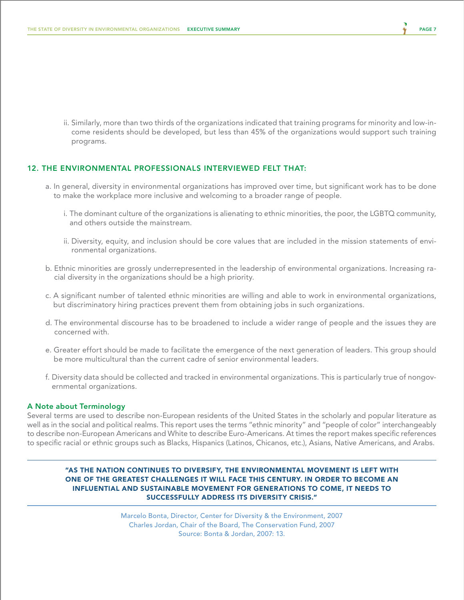<span id="page-15-0"></span>ii. Similarly, more than two thirds of the organizations indicated that training programs for minority and low-income residents should be developed, but less than 45% of the organizations would support such training programs.

### 12. The environmental professionals interviewed felt that:

- a. In general, diversity in environmental organizations has improved over time, but significant work has to be done to make the workplace more inclusive and welcoming to a broader range of people.
	- i. The dominant culture of the organizations is alienating to ethnic minorities, the poor, the LGBTQ community, and others outside the mainstream.
	- ii. Diversity, equity, and inclusion should be core values that are included in the mission statements of environmental organizations.
- b. Ethnic minorities are grossly underrepresented in the leadership of environmental organizations. Increasing racial diversity in the organizations should be a high priority.
- c. A significant number of talented ethnic minorities are willing and able to work in environmental organizations, but discriminatory hiring practices prevent them from obtaining jobs in such organizations.
- d. The environmental discourse has to be broadened to include a wider range of people and the issues they are concerned with.
- e. Greater effort should be made to facilitate the emergence of the next generation of leaders. This group should be more multicultural than the current cadre of senior environmental leaders.
- f. Diversity data should be collected and tracked in environmental organizations. This is particularly true of nongovernmental organizations.

#### A Note about Terminology

Several terms are used to describe non-European residents of the United States in the scholarly and popular literature as well as in the social and political realms. This report uses the terms "ethnic minority" and "people of color" interchangeably to describe non-European Americans and White to describe Euro-Americans. At times the report makes specific references to specific racial or ethnic groups such as Blacks, Hispanics (Latinos, Chicanos, etc.), Asians, Native Americans, and Arabs.

"As the nation continues to diversify, the environmental movement is left with one of the greatest challenges it will face this century. In order to become an influential and sustainable movement for generations to come, it needs to successfully address its diversity crisis."

> Marcelo Bonta, Director, Center for Diversity & the Environment, 2007 Charles Jordan, Chair of the Board, The Conservation Fund, 2007 Source: Bonta & Jordan, 2007: 13.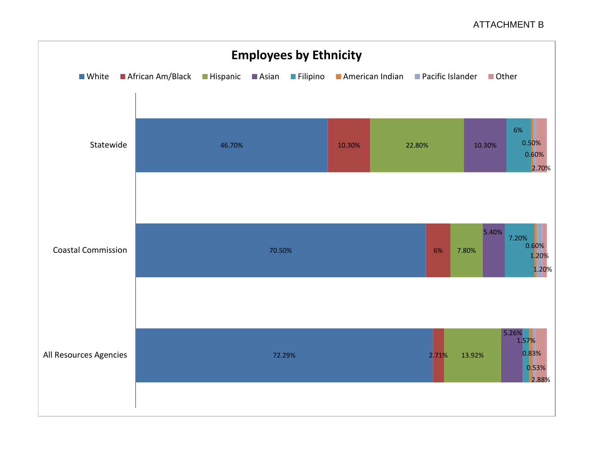# ATTACHMENT B

<span id="page-16-0"></span>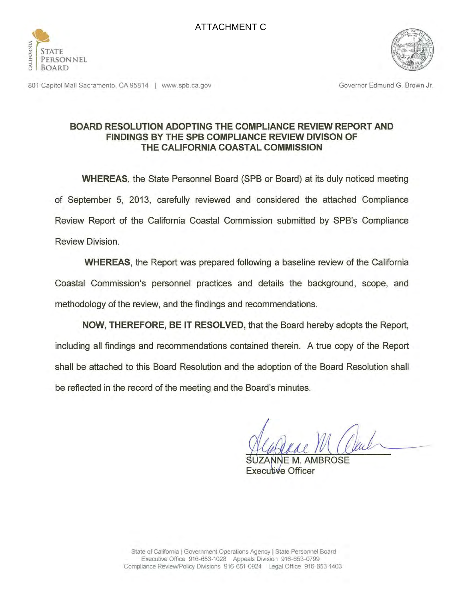



801 Capitol Mall Sacramento, CA 95814 | www.spb.ca.gov Governor Edmund G. Brown Jr.

# **BOARD RESOLUTION ADOPTING THE COMPLIANCE REVIEW REPORT AND FINDINGS BY THE SPB COMPLIANCE REVIEW DIVISON OF THE CALIFORNIA COASTAL COMMISSION**

**WHEREAS,** the State Personnel Board (SPB or Board) at its duly noticed meeting of September 5, 2013, carefully reviewed and considered the attached Compliance Review Report of the California Coastal Commission submitted by SPB's Compliance Review Division.

**WHEREAS,** the Report was prepared following a baseline review of the California Coastal Commission's personnel practices and details the background, scope, and methodology of the review, and the findings and recommendations.

**NOW, THEREFORE, BE IT RESOLVED,** that the Board hereby adopts the Report, including all findings and recommendations contained therein. A true copy of the Report shall be attached to this Board Resolution and the adoption of the Board Resolution shall be reflected in the record of the meeting and the Board's minutes.

AMBROSE Executive Officer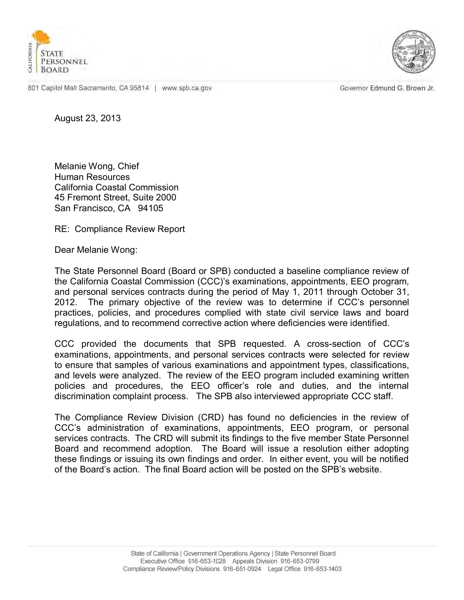



801 Capitol Mall Sacramento, CA 95814. | www.spb.ca.gov

Governor Edmund G. Brown Jr.

August 23, 2013

Melanie Wong, Chief Human Resources California Coastal Commission 45 Fremont Street, Suite 2000 San Francisco, CA 94105

RE: Compliance Review Report

Dear Melanie Wong:

The State Personnel Board (Board or SPB) conducted a baseline compliance review of the California Coastal Commission (CCC)'s examinations, appointments, EEO program, and personal services contracts during the period of May 1, 2011 through October 31, 2012. The primary objective of the review was to determine if CCC's personnel practices, policies, and procedures complied with state civil service laws and board regulations, and to recommend corrective action where deficiencies were identified.

CCC provided the documents that SPB requested. A cross-section of CCC's examinations, appointments, and personal services contracts were selected for review to ensure that samples of various examinations and appointment types, classifications, and levels were analyzed. The review of the EEO program included examining written policies and procedures, the EEO officer's role and duties, and the internal discrimination complaint process. The SPB also interviewed appropriate CCC staff.

The Compliance Review Division (CRD) has found no deficiencies in the review of CCC's administration of examinations, appointments, EEO program, or personal services contracts. The CRD will submit its findings to the five member State Personnel Board and recommend adoption. The Board will issue a resolution either adopting these findings or issuing its own findings and order. In either event, you will be notified of the Board's action. The final Board action will be posted on the SPB's website.